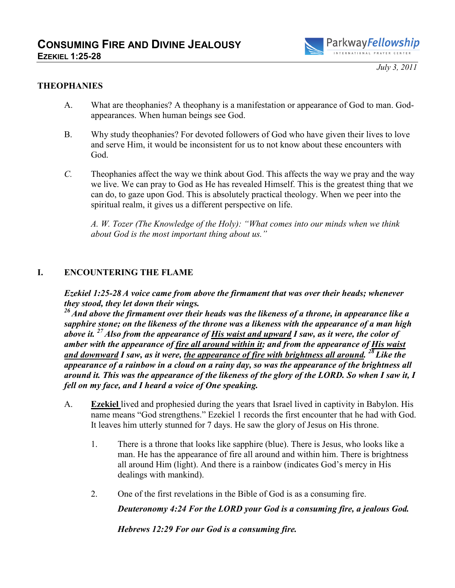

*July 3, 2011* 

#### **THEOPHANIES**

- A. What are theophanies? A theophany is a manifestation or appearance of God to man. Godappearances. When human beings see God.
- B. Why study theophanies? For devoted followers of God who have given their lives to love and serve Him, it would be inconsistent for us to not know about these encounters with God.
- *C.* Theophanies affect the way we think about God. This affects the way we pray and the way we live. We can pray to God as He has revealed Himself. This is the greatest thing that we can do, to gaze upon God. This is absolutely practical theology. When we peer into the spiritual realm, it gives us a different perspective on life.

*A. W. Tozer (The Knowledge of the Holy): "What comes into our minds when we think about God is the most important thing about us."* 

#### **I. ENCOUNTERING THE FLAME**

*Ezekiel 1:25-28 A voice came from above the firmament that was over their heads; whenever they stood, they let down their wings.* 

*<sup>26</sup>And above the firmament over their heads was the likeness of a throne, in appearance like a sapphire stone; on the likeness of the throne was a likeness with the appearance of a man high above it. <sup>27</sup>Also from the appearance of His waist and upward I saw, as it were, the color of amber with the appearance of fire all around within it; and from the appearance of His waist and downward I saw, as it were, the appearance of fire with brightness all around. <sup>28</sup>Like the appearance of a rainbow in a cloud on a rainy day, so was the appearance of the brightness all around it. This was the appearance of the likeness of the glory of the LORD. So when I saw it, I fell on my face, and I heard a voice of One speaking.* 

- A. **Ezekiel** lived and prophesied during the years that Israel lived in captivity in Babylon. His name means "God strengthens." Ezekiel 1 records the first encounter that he had with God. It leaves him utterly stunned for 7 days. He saw the glory of Jesus on His throne.
	- 1. There is a throne that looks like sapphire (blue). There is Jesus, who looks like a man. He has the appearance of fire all around and within him. There is brightness all around Him (light). And there is a rainbow (indicates God's mercy in His dealings with mankind).
	- 2. One of the first revelations in the Bible of God is as a consuming fire.

*Deuteronomy 4:24 For the LORD your God is a consuming fire, a jealous God.* 

*Hebrews 12:29 For our God is a consuming fire.*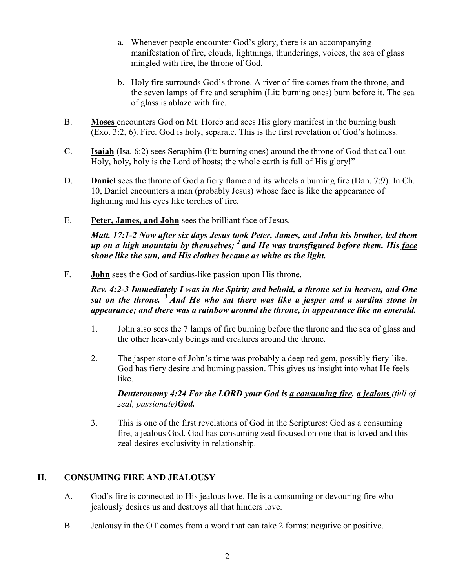- a. Whenever people encounter God's glory, there is an accompanying manifestation of fire, clouds, lightnings, thunderings, voices, the sea of glass mingled with fire, the throne of God.
- b. Holy fire surrounds God's throne. A river of fire comes from the throne, and the seven lamps of fire and seraphim (Lit: burning ones) burn before it. The sea of glass is ablaze with fire.
- B. **Moses** encounters God on Mt. Horeb and sees His glory manifest in the burning bush (Exo. 3:2, 6). Fire. God is holy, separate. This is the first revelation of God's holiness.
- C. **Isaiah** (Isa. 6:2) sees Seraphim (lit: burning ones) around the throne of God that call out Holy, holy, holy is the Lord of hosts; the whole earth is full of His glory!"
- D. **Daniel** sees the throne of God a fiery flame and its wheels a burning fire (Dan. 7:9). In Ch. 10, Daniel encounters a man (probably Jesus) whose face is like the appearance of lightning and his eyes like torches of fire.
- E. **Peter, James, and John** sees the brilliant face of Jesus.

*Matt. 17:1-2 Now after six days Jesus took Peter, James, and John his brother, led them up on a high mountain by themselves; <sup>2</sup>and He was transfigured before them. His face shone like the sun, and His clothes became as white as the light.* 

F. **John** sees the God of sardius-like passion upon His throne.

### *Rev. 4:2-3 Immediately I was in the Spirit; and behold, a throne set in heaven, and One sat on the throne. <sup>3</sup>And He who sat there was like a jasper and a sardius stone in appearance; and there was a rainbow around the throne, in appearance like an emerald.*

- 1. John also sees the 7 lamps of fire burning before the throne and the sea of glass and the other heavenly beings and creatures around the throne.
- 2. The jasper stone of John's time was probably a deep red gem, possibly fiery-like. God has fiery desire and burning passion. This gives us insight into what He feels like.

### *Deuteronomy 4:24 For the LORD your God is a consuming fire, a jealous (full of zeal, passionate)God.*

3. This is one of the first revelations of God in the Scriptures: God as a consuming fire, a jealous God. God has consuming zeal focused on one that is loved and this zeal desires exclusivity in relationship.

## **II. CONSUMING FIRE AND JEALOUSY**

- A. God's fire is connected to His jealous love. He is a consuming or devouring fire who jealously desires us and destroys all that hinders love.
- B. Jealousy in the OT comes from a word that can take 2 forms: negative or positive.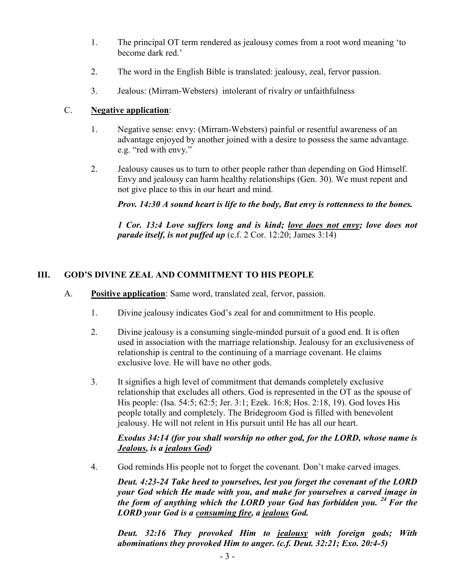- 1. The principal OT term rendered as jealousy comes from a root word meaning 'to become dark red.'
- 2. The word in the English Bible is translated: jealousy, zeal, fervor passion.
- 3. Jealous: (Mirram-Websters) intolerant of rivalry or unfaithfulness

## C. **Negative application**:

- 1. Negative sense: envy: (Mirram-Websters) painful or resentful awareness of an advantage enjoyed by another joined with a desire to possess the same advantage. e.g. "red with envy."
- 2. Jealousy causes us to turn to other people rather than depending on God Himself. Envy and jealousy can harm healthy relationships (Gen. 30). We must repent and not give place to this in our heart and mind.

*Prov. 14:30 A sound heart is life to the body, But envy is rottenness to the bones.* 

*1 Cor. 13:4 Love suffers long and is kind; love does not envy; love does not parade itself, is not puffed up* (c.f. 2 Cor. 12:20; James 3:14)

## **III. GOD'S DIVINE ZEAL AND COMMITMENT TO HIS PEOPLE**

- A. **Positive application**: Same word, translated zeal, fervor, passion.
	- 1. Divine jealousy indicates God's zeal for and commitment to His people.
	- 2. Divine jealousy is a consuming single-minded pursuit of a good end. It is often used in association with the marriage relationship. Jealousy for an exclusiveness of relationship is central to the continuing of a marriage covenant. He claims exclusive love. He will have no other gods.
	- 3. It signifies a high level of commitment that demands completely exclusive relationship that excludes all others. God is represented in the OT as the spouse of His people: (Isa. 54:5; 62:5; Jer. 3:1; Ezek. 16:8; Hos. 2:18, 19). God loves His people totally and completely. The Bridegroom God is filled with benevolent jealousy. He will not relent in His pursuit until He has all our heart.

### *Exodus 34:14 (for you shall worship no other god, for the LORD, whose name is Jealous, is a jealous God)*

4. God reminds His people not to forget the covenant. Don't make carved images.

*Deut. 4:23-24 Take heed to yourselves, lest you forget the covenant of the LORD your God which He made with you, and make for yourselves a carved image in the form of anything which the LORD your God has forbidden you. <sup>24</sup>For the LORD your God is a consuming fire, a jealous God.* 

*Deut. 32:16 They provoked Him to jealousy with foreign gods; With abominations they provoked Him to anger. (c.f. Deut. 32:21; Exo. 20:4-5)*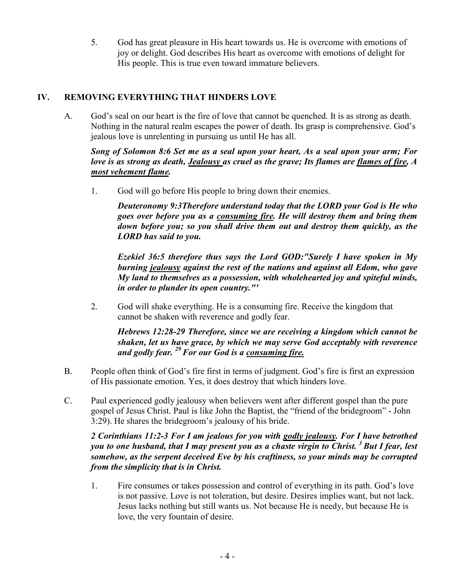5. God has great pleasure in His heart towards us. He is overcome with emotions of joy or delight. God describes His heart as overcome with emotions of delight for His people. This is true even toward immature believers.

# **IV. REMOVING EVERYTHING THAT HINDERS LOVE**

A. God's seal on our heart is the fire of love that cannot be quenched. It is as strong as death. Nothing in the natural realm escapes the power of death. Its grasp is comprehensive. God's jealous love is unrelenting in pursuing us until He has all.

### *Song of Solomon 8:6 Set me as a seal upon your heart, As a seal upon your arm; For love is as strong as death, Jealousy as cruel as the grave; Its flames are flames of fire, A most vehement flame.*

1. God will go before His people to bring down their enemies.

*Deuteronomy 9:3Therefore understand today that the LORD your God is He who goes over before you as a consuming fire. He will destroy them and bring them down before you; so you shall drive them out and destroy them quickly, as the LORD has said to you.* 

*Ezekiel 36:5 therefore thus says the Lord GOD:"Surely I have spoken in My burning jealousy against the rest of the nations and against all Edom, who gave My land to themselves as a possession, with wholehearted joy and spiteful minds, in order to plunder its open country."'* 

2. God will shake everything. He is a consuming fire. Receive the kingdom that cannot be shaken with reverence and godly fear.

*Hebrews 12:28-29 Therefore, since we are receiving a kingdom which cannot be shaken, let us have grace, by which we may serve God acceptably with reverence and godly fear. <sup>29</sup>For our God is a consuming fire.* 

- B. People often think of God's fire first in terms of judgment. God's fire is first an expression of His passionate emotion. Yes, it does destroy that which hinders love.
- C. Paul experienced godly jealousy when believers went after different gospel than the pure gospel of Jesus Christ. Paul is like John the Baptist, the "friend of the bridegroom" - John 3:29). He shares the bridegroom's jealousy of his bride.

### *2 Corinthians 11:2-3 For I am jealous for you with godly jealousy. For I have betrothed you to one husband, that I may present you as a chaste virgin to Christ. <sup>3</sup>But I fear, lest somehow, as the serpent deceived Eve by his craftiness, so your minds may be corrupted from the simplicity that is in Christ.*

1. Fire consumes or takes possession and control of everything in its path. God's love is not passive. Love is not toleration, but desire. Desires implies want, but not lack. Jesus lacks nothing but still wants us. Not because He is needy, but because He is love, the very fountain of desire.